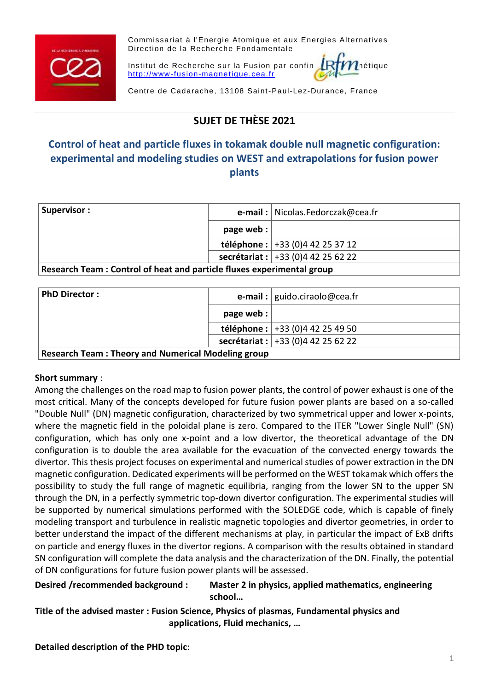

Commissariat à l'Energie Atomique et aux Energies Alternatives Direction de la Recherche Fondamentale

Institut de Recherche sur la Fusion par confine  $\mathbb{R}$ f $\bm{m}$ nétique [http://www-fusion-magnetique.cea.fr](http://www-fusion-magnetique.cea.fr/)

Centre de Cadarache, 13108 Saint-Paul-Lez-Durance, France

# **SUJET DE THÈSE 2021**

# **Control of heat and particle fluxes in tokamak double null magnetic configuration: experimental and modeling studies on WEST and extrapolations for fusion power plants**

| Supervisor:                                                            |           | <b>e-mail</b> :   Nicolas.Fedorczak@cea.fr |  |
|------------------------------------------------------------------------|-----------|--------------------------------------------|--|
|                                                                        | page web: |                                            |  |
|                                                                        |           | téléphone : $+33(0)442253712$              |  |
|                                                                        |           | secrétariat : $+33(0)442256222$            |  |
| Research Toam : Control of boat and particle fluvos experimental group |           |                                            |  |

**Research Team : Control of heat and particle fluxes experimental group**

| <b>PhD Director:</b>                                      |           | <b>e-mail</b> : $ $ guido.ciraolo@cea.fr |  |
|-----------------------------------------------------------|-----------|------------------------------------------|--|
|                                                           | page web: |                                          |  |
|                                                           |           | téléphone : $+33(0)442254950$            |  |
|                                                           |           | secrétariat : $+33(0)442256222$          |  |
| <b>Research Team: Theory and Numerical Modeling group</b> |           |                                          |  |

### **Short summary** :

Among the challenges on the road map to fusion power plants, the control of power exhaust is one of the most critical. Many of the concepts developed for future fusion power plants are based on a so-called "Double Null" (DN) magnetic configuration, characterized by two symmetrical upper and lower x-points, where the magnetic field in the poloidal plane is zero. Compared to the ITER "Lower Single Null" (SN) configuration, which has only one x-point and a low divertor, the theoretical advantage of the DN configuration is to double the area available for the evacuation of the convected energy towards the divertor. This thesis project focuses on experimental and numerical studies of power extraction in the DN magnetic configuration. Dedicated experiments will be performed on the WEST tokamak which offers the possibility to study the full range of magnetic equilibria, ranging from the lower SN to the upper SN through the DN, in a perfectly symmetric top-down divertor configuration. The experimental studies will be supported by numerical simulations performed with the SOLEDGE code, which is capable of finely modeling transport and turbulence in realistic magnetic topologies and divertor geometries, in order to better understand the impact of the different mechanisms at play, in particular the impact of ExB drifts on particle and energy fluxes in the divertor regions. A comparison with the results obtained in standard SN configuration will complete the data analysis and the characterization of the DN. Finally, the potential of DN configurations for future fusion power plants will be assessed.

#### **Desired /recommended background : Master 2 in physics, applied mathematics, engineering school…**

**Title of the advised master : Fusion Science, Physics of plasmas, Fundamental physics and applications, Fluid mechanics, …**

**Detailed description of the PHD topic**: